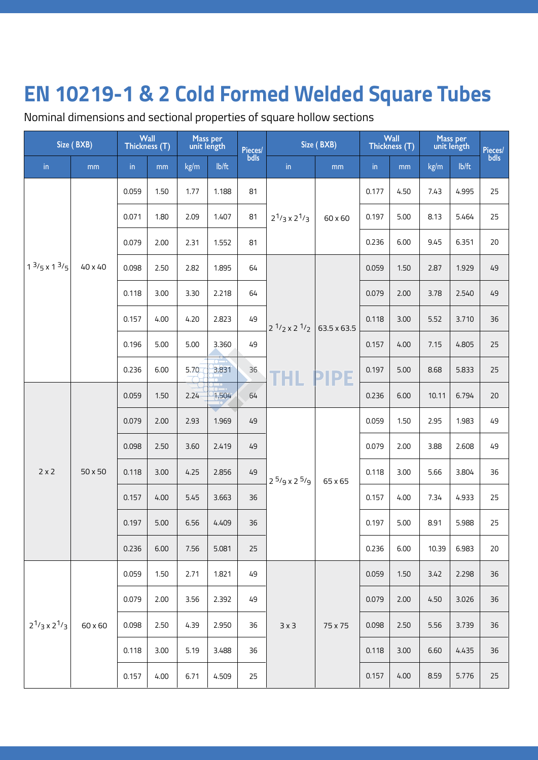Nominal dimensions and sectional properties of square hollow sections

| Size (BXB)               |         | Wall<br>Thickness (T) |      | Mass per<br>unit length |       | Pieces/<br>  bdls | Size (BXB)                 |             | Wall<br>Thickness (T) |      | Mass per<br>unit length |       | Pieces/<br>bdls |
|--------------------------|---------|-----------------------|------|-------------------------|-------|-------------------|----------------------------|-------------|-----------------------|------|-------------------------|-------|-----------------|
| in                       | mm      | $\mathop{\text{in}}$  | mm   | kg/m                    | lb/ft |                   | $\mathsf{in}$              | mm          | in                    | mm   | kg/m                    | lb/ft |                 |
|                          |         | 0.059                 | 1.50 | 1.77                    | 1.188 | 81                |                            | 60 x 60     | 0.177                 | 4.50 | 7.43                    | 4.995 | 25              |
|                          |         | 0.071                 | 1.80 | 2.09                    | 1.407 | 81                | $2^{1/3} \times 2^{1/3}$   |             | 0.197                 | 5.00 | 8.13                    | 5.464 | 25              |
|                          |         | 0.079                 | 2.00 | 2.31                    | 1.552 | 81                |                            |             | 0.236                 | 6.00 | 9.45                    | 6.351 | 20              |
| $1^{3}/5 \times 1^{3}/5$ | 40 x 40 | 0.098                 | 2.50 | 2.82                    | 1.895 | 64                |                            |             | 0.059                 | 1.50 | 2.87                    | 1.929 | 49              |
|                          |         | 0.118                 | 3.00 | 3.30                    | 2.218 | 64                |                            |             | 0.079                 | 2.00 | 3.78                    | 2.540 | 49              |
|                          |         | 0.157                 | 4.00 | 4.20                    | 2.823 | 49                | $2^{1/2}$ x 2 $1/2$<br>THL | 63.5 x 63.5 | 0.118                 | 3.00 | 5.52                    | 3.710 | 36              |
|                          |         | 0.196                 | 5.00 | 5.00                    | 3.360 | 49                |                            |             | 0.157                 | 4.00 | 7.15                    | 4.805 | 25              |
|                          |         | 0.236                 | 6.00 | 5.70                    | 3.831 | 36                |                            | <b>PIPE</b> | 0.197                 | 5.00 | 8.68                    | 5.833 | 25              |
|                          | 50 x 50 | 0.059                 | 1.50 | 2.24                    | 1,504 | 64                |                            |             | 0.236                 | 6.00 | 10.11                   | 6.794 | 20              |
|                          |         | 0.079                 | 2.00 | 2.93                    | 1.969 | 49                | $2^{5}/9 \times 2^{5}/9$   | 65 x 65     | 0.059                 | 1.50 | 2.95                    | 1.983 | 49              |
|                          |         | 0.098                 | 2.50 | 3.60                    | 2.419 | 49                |                            |             | 0.079                 | 2.00 | 3.88                    | 2.608 | 49              |
| $2 \times 2$             |         | 0.118                 | 3.00 | 4.25                    | 2.856 | 49                |                            |             | 0.118                 | 3.00 | 5.66                    | 3.804 | 36              |
|                          |         | 0.157                 | 4.00 | 5.45                    | 3.663 | 36                |                            |             | 0.157                 | 4.00 | 7.34                    | 4.933 | 25              |
|                          |         | 0.197                 | 5.00 | 6.56                    | 4.409 | 36                |                            |             | 0.197                 | 5.00 | 8.91                    | 5.988 | 25              |
|                          |         | 0.236                 | 6.00 | 7.56                    | 5.081 | 25                |                            |             | 0.236                 | 6.00 | 10.39                   | 6.983 | 20              |
|                          |         | 0.059                 | 1.50 | 2.71                    | 1.821 | 49                |                            |             | 0.059                 | 1.50 | 3.42                    | 2.298 | 36              |
|                          |         | 0.079                 | 2.00 | 3.56                    | 2.392 | 49                |                            |             | 0.079                 | 2.00 | 4.50                    | 3.026 | 36              |
| $2^{1/3} \times 2^{1/3}$ | 60 x 60 | 0.098                 | 2.50 | 4.39                    | 2.950 | 36                | 3x3                        | 75 x 75     | 0.098                 | 2.50 | 5.56                    | 3.739 | 36              |
|                          |         | 0.118                 | 3.00 | 5.19                    | 3.488 | 36                |                            |             | 0.118                 | 3.00 | 6.60                    | 4.435 | 36              |
|                          |         | 0.157                 | 4.00 | 6.71                    | 4.509 | 25                |                            |             | 0.157                 | 4.00 | 8.59                    | 5.776 | 25              |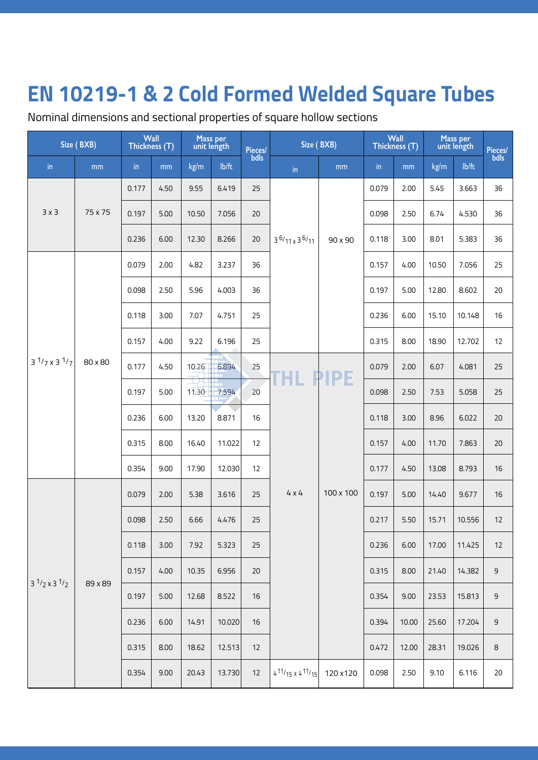Nominal dimensions and sectional properties of square hollow sections

|                          | Size (BXB) | Wall<br>Thickness (T) |      | Mass per<br>unit length |        | Pieces/<br>Lbdls | Size (BXB)                            |                 | Wall<br>Thickness (T) |       | Mass per<br>unit length |        | Pieces/<br>bdls |
|--------------------------|------------|-----------------------|------|-------------------------|--------|------------------|---------------------------------------|-----------------|-----------------------|-------|-------------------------|--------|-----------------|
| in                       | mm         | in                    | mm   | kg/m                    | lb/ft  |                  | $\mathsf{in}$                         | mm              | $\mathsf{in}$         | mm    | kg/m                    | lb/ft  |                 |
|                          |            | 0.177                 | 4.50 | 9.55                    | 6.419  | 25               |                                       |                 | 0.079                 | 2.00  | 5.45                    | 3.663  | 36              |
| $3 \times 3$             | 75 x 75    | 0.197                 | 5.00 | 10.50                   | 7.056  | 20               |                                       |                 | 0.098                 | 2.50  | 6.74                    | 4.530  | 36              |
|                          |            | 0.236                 | 6.00 | 12.30                   | 8.266  | 20               | $3^{6}/11 \times 3^{6}/11$            | 90 x 90         | 0.118                 | 3.00  | 8.01                    | 5.383  | 36              |
|                          |            | 0.079                 | 2.00 | 4.82                    | 3.237  | 36               |                                       |                 | 0.157                 | 4.00  | 10.50                   | 7.056  | 25              |
|                          |            | 0.098                 | 2.50 | 5.96                    | 4.003  | 36               |                                       |                 | 0.197                 | 5.00  | 12.80                   | 8.602  | 20              |
|                          |            | 0.118                 | 3.00 | 7.07                    | 4.751  | 25               |                                       |                 | 0.236                 | 6.00  | 15.10                   | 10.148 | 16              |
|                          |            | 0.157                 | 4.00 | 9.22                    | 6.196  | 25               |                                       |                 | 0.315                 | 8.00  | 18.90                   | 12.702 | 12              |
| $3^{1/7} \times 3^{1/7}$ | 80 x 80    | 0.177                 | 4.50 | 10.26                   | 6.894  | 25               |                                       | <b>THL PIPE</b> | 0.079                 | 2.00  | 6.07                    | 4.081  | 25              |
|                          |            | 0.197                 | 5.00 | 11.30                   | 7.594  | 20               |                                       |                 | 0.098                 | 2.50  | 7.53                    | 5.058  | 25              |
|                          |            | 0.236                 | 6.00 | 13.20                   | 8.871  | 16               |                                       |                 | 0.118                 | 3.00  | 8.96                    | 6.022  | 20              |
|                          |            | 0.315                 | 8.00 | 16.40                   | 11.022 | 12               |                                       |                 | 0.157                 | 4.00  | 11.70                   | 7.863  | 20              |
|                          |            | 0.354                 | 9.00 | 17.90                   | 12.030 | 12               |                                       |                 | 0.177                 | 4.50  | 13.08                   | 8.793  | 16              |
|                          |            | 0.079                 | 2.00 | 5.38                    | 3.616  | 25               | $4 \times 4$                          | 100 x 100       | 0.197                 | 5.00  | 14.40                   | 9.677  | 16              |
|                          |            | 0.098                 | 2.50 | 6.66                    | 4.476  | 25               |                                       |                 | 0.217                 | 5.50  | 15.71                   | 10.556 | 12              |
|                          |            | 0.118                 | 3.00 | 7.92                    | 5.323  | 25               |                                       |                 | 0.236                 | 6.00  | 17.00                   | 11.425 | 12              |
| $3^{1/2} \times 3^{1/2}$ |            | 0.157                 | 4.00 | 10.35                   | 6.956  | 20               |                                       |                 | 0.315                 | 8.00  | 21.40                   | 14.382 | 9               |
|                          | 89 x 89    | 0.197                 | 5.00 | 12.68                   | 8.522  | 16               |                                       |                 | 0.354                 | 9.00  | 23.53                   | 15.813 | 9               |
|                          |            | 0.236                 | 6.00 | 14.91                   | 10.020 | 16               |                                       |                 | 0.394                 | 10.00 | 25.60                   | 17.204 | 9               |
|                          |            | 0.315                 | 8.00 | 18.62                   | 12.513 | 12               |                                       |                 | 0.472                 | 12.00 | 28.31                   | 19.026 | 8               |
|                          |            | 0.354                 | 9.00 | 20.43                   | 13.730 | 12               | $4^{11}/15 \times 4^{11}/15$ 120 x120 |                 | 0.098                 | 2.50  | 9.10                    | 6.116  | 20              |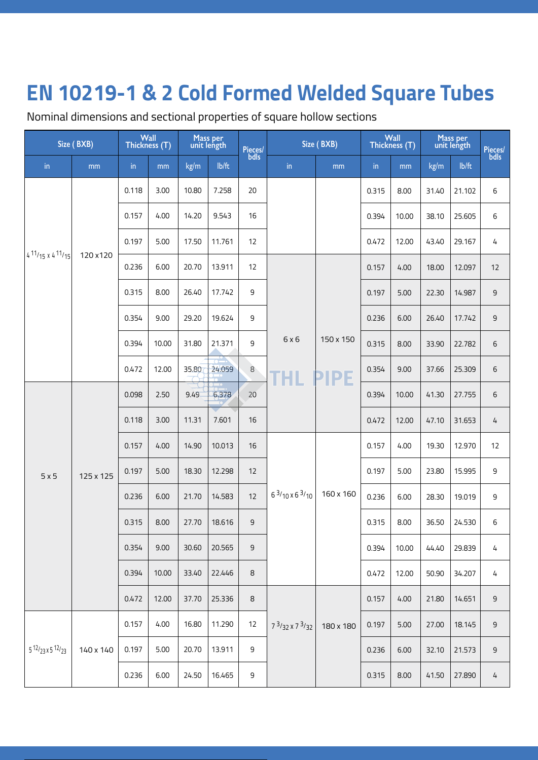Nominal dimensions and sectional properties of square hollow sections

| Size (BXB)                   |           | Wall<br>Thickness (T) |       | Mass per<br>unit length |        | Pieces/<br>bdls |                            | Size (BXB)               |       | Wall<br>Thickness (T) |       | Mass per<br>unit length |                 |
|------------------------------|-----------|-----------------------|-------|-------------------------|--------|-----------------|----------------------------|--------------------------|-------|-----------------------|-------|-------------------------|-----------------|
| in                           | mm        | in                    | mm    | kg/m                    | lb/ft  |                 | in                         | mm                       | in    | mm                    | kg/m  | Ib/ft                   | Pieces/<br>bdls |
|                              |           | 0.118                 | 3.00  | 10.80                   | 7.258  | 20              |                            |                          | 0.315 | 8.00                  | 31.40 | 21.102                  | 6               |
|                              |           | 0.157                 | 4.00  | 14.20                   | 9.543  | 16              |                            |                          | 0.394 | 10.00                 | 38.10 | 25.605                  | 6               |
|                              |           | 0.197                 | 5.00  | 17.50                   | 11.761 | 12              |                            |                          | 0.472 | 12.00                 | 43.40 | 29.167                  | 4               |
| $4^{11}/15 \times 4^{11}/15$ | 120 x 120 | 0.236                 | 6.00  | 20.70                   | 13.911 | 12              |                            |                          | 0.157 | 4.00                  | 18.00 | 12.097                  | 12              |
|                              |           | 0.315                 | 8.00  | 26.40                   | 17.742 | 9               |                            |                          | 0.197 | 5.00                  | 22.30 | 14.987                  | $\mathsf 9$     |
|                              |           | 0.354                 | 9.00  | 29.20                   | 19.624 | 9               |                            |                          | 0.236 | 6.00                  | 26.40 | 17.742                  | 9               |
|                              |           | 0.394                 | 10.00 | 31.80                   | 21.371 | 9               | 6x6<br>THL                 | 150 x 150<br><b>PIPE</b> | 0.315 | 8.00                  | 33.90 | 22.782                  | 6               |
|                              |           | 0.472                 | 12.00 | 35.80                   | 24.059 | 8               |                            |                          | 0.354 | 9.00                  | 37.66 | 25.309                  | 6               |
|                              | 125 x 125 | 0.098                 | 2.50  | 9.49                    | 6.378  | 20              |                            |                          | 0.394 | 10.00                 | 41.30 | 27.755                  | 6               |
|                              |           | 0.118                 | 3.00  | 11.31                   | 7.601  | 16              |                            |                          | 0.472 | 12.00                 | 47.10 | 31.653                  | 4               |
|                              |           | 0.157                 | 4.00  | 14.90                   | 10.013 | 16              |                            | 160 x 160                | 0.157 | 4.00                  | 19.30 | 12.970                  | 12              |
| 5x5                          |           | 0.197                 | 5.00  | 18.30                   | 12.298 | 12              |                            |                          | 0.197 | 5.00                  | 23.80 | 15.995                  | 9               |
|                              |           | 0.236                 | 6.00  | 21.70                   | 14.583 | 12              | $6^{3}/10 \times 6^{3}/10$ |                          | 0.236 | 6.00                  | 28.30 | 19.019                  | 9               |
|                              |           | 0.315                 | 8.00  | 27.70                   | 18.616 | $\mathsf 9$     |                            |                          | 0.315 | 8.00                  | 36.50 | 24.530                  | $\,$ 6          |
|                              |           | 0.354                 | 9.00  | 30.60                   | 20.565 | 9               |                            |                          | 0.394 | 10.00                 | 44.40 | 29.839                  | 4               |
|                              |           | 0.394                 | 10.00 | 33.40                   | 22.446 | 8               |                            |                          | 0.472 | 12.00                 | 50.90 | 34.207                  | 4               |
|                              |           | 0.472                 | 12.00 | 37.70                   | 25.336 | 8               |                            |                          | 0.157 | 4.00                  | 21.80 | 14.651                  | $\mathsf 9$     |
|                              |           | 0.157                 | 4.00  | 16.80                   | 11.290 | 12              | $7^{3}/32 \times 7^{3}/32$ | 180 x 180                | 0.197 | 5.00                  | 27.00 | 18.145                  | $\mathsf 9$     |
| $5^{12}/23 \times 5^{12}/23$ | 140 x 140 | 0.197                 | 5.00  | 20.70                   | 13.911 | 9               |                            |                          | 0.236 | 6.00                  | 32.10 | 21.573                  | $9\,$           |
|                              |           | 0.236                 | 6.00  | 24.50                   | 16.465 | 9               |                            |                          | 0.315 | 8.00                  | 41.50 | 27.890                  | 4               |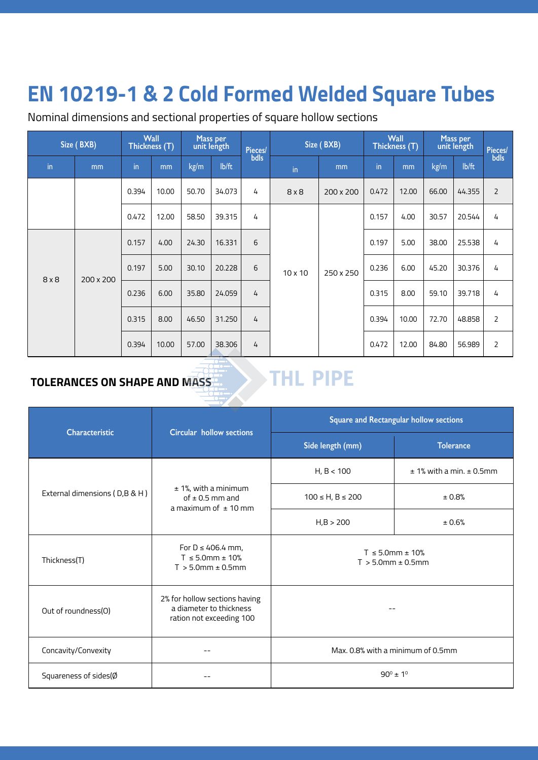### **EN 10219-1 & 2 Cold Formed Welded Square Tubes EN 10219-1 & 2 Cold Formed Welded Square Tubes**

Nominal dimensions and sectional properties of square hollow sections

| Size (BXB)    |           | Wall<br>Mass per<br>unit length<br>Thickness (T) |       | Pieces/ | Size (BXB) |      | <b>Wall</b><br>Thickness (T) |           | Mass per<br>unit length |       | <b>Pieces/</b> |        |                |   |
|---------------|-----------|--------------------------------------------------|-------|---------|------------|------|------------------------------|-----------|-------------------------|-------|----------------|--------|----------------|---|
| $\mathsf{in}$ | mm        | in                                               | mm    | kg/m    | lb/ft      | bdls | in                           | mm        | in                      | mm    | kg/m           | lb/ft  | bdls           |   |
|               |           | 0.394                                            | 10.00 | 50.70   | 34.073     | 4    | $8 \times 8$                 | 200 x 200 | 0.472                   | 12.00 | 66.00          | 44.355 | 2              |   |
|               |           | 0.472                                            | 12.00 | 58.50   | 39.315     | 4    | $10 \times 10$               |           |                         | 0.157 | 4.00           | 30.57  | 20.544         | 4 |
|               | 200 x 200 | 0.157                                            | 4.00  | 24.30   | 16.331     | 6    |                              | 250 x 250 | 0.197                   | 5.00  | 38.00          | 25.538 | 4              |   |
| $8 \times 8$  |           | 0.197                                            | 5.00  | 30.10   | 20.228     | 6    |                              |           | 0.236                   | 6.00  | 45.20          | 30.376 | 4              |   |
|               |           | 0.236                                            | 6.00  | 35.80   | 24.059     | 4    |                              |           | 0.315                   | 8.00  | 59.10          | 39.718 | 4              |   |
|               |           | 0.315                                            | 8.00  | 46.50   | 31.250     | 4    |                              |           | 0.394                   | 10.00 | 72.70          | 48.858 | $\overline{2}$ |   |
|               |           | 0.394                                            | 10.00 | 57.00   | 38.306     | 4    |                              |           | 0.472                   | 12.00 | 84.80          | 56.989 | $\overline{2}$ |   |

#### **TOLERANCES ON SHAPE AND MASS**

## **THL PIPE**

| <b>Characteristic</b>         | Circular hollow sections                                                             | Square and Rectangular hollow sections           |                                   |  |  |  |
|-------------------------------|--------------------------------------------------------------------------------------|--------------------------------------------------|-----------------------------------|--|--|--|
|                               |                                                                                      | Side length (mm)                                 | <b>Tolerance</b>                  |  |  |  |
| External dimensions (D,B & H) |                                                                                      | H, B < 100                                       | $± 1%$ with a min. $± 0.5$ mm     |  |  |  |
|                               | $± 1%$ , with a minimum<br>of $\pm$ 0.5 mm and<br>a maximum of $\pm$ 10 mm           | $100 \le H, B \le 200$                           | ± 0.8%                            |  |  |  |
|                               |                                                                                      | H, B > 200                                       | ± 0.6%                            |  |  |  |
| Thickness(T)                  | For $D \leq 406.4$ mm,<br>$T \le 5.0$ mm ± 10%<br>$T > 5.0$ mm $\pm$ 0.5mm           | $T \le 5.0$ mm ± 10%<br>$T > 5.0$ mm $\pm$ 0.5mm |                                   |  |  |  |
| Out of roundness(O)           | 2% for hollow sections having<br>a diameter to thickness<br>ration not exceeding 100 |                                                  |                                   |  |  |  |
| Concavity/Convexity           |                                                                                      |                                                  | Max. 0.8% with a minimum of 0.5mm |  |  |  |
| Squareness of sides(Ø         |                                                                                      | $90^{\circ}$ ± 1 <sup>°</sup>                    |                                   |  |  |  |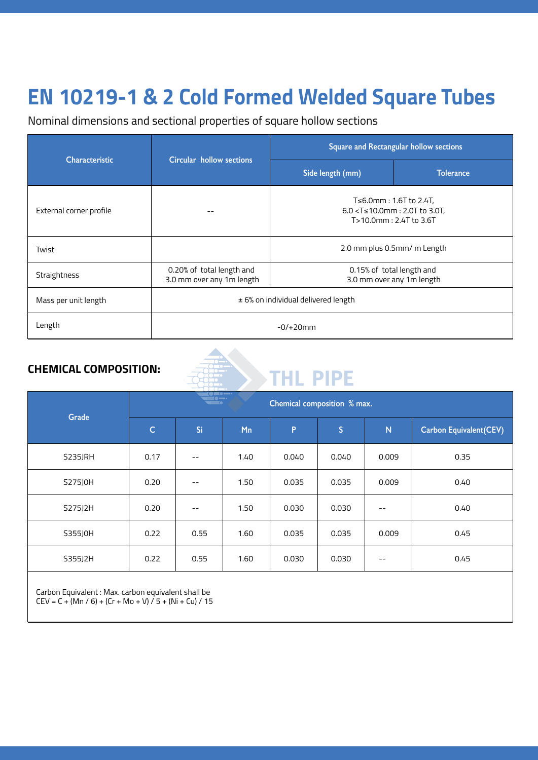#### **EN 10219-1 & 2 Cold Formed Welded Square Tubes EN 10219-1 & 2 Cold Formed Welded Square Tubes**

Nominal dimensions and sectional properties of square hollow sections

| <b>Characteristic</b>   | Circular hollow sections                               | <b>Square and Rectangular hollow sections</b>                                             |                           |  |  |  |  |
|-------------------------|--------------------------------------------------------|-------------------------------------------------------------------------------------------|---------------------------|--|--|--|--|
|                         |                                                        | Side length (mm)                                                                          | <b>Tolerance</b>          |  |  |  |  |
| External corner profile |                                                        | T≤6.0mm : 1.6T to 2.4T,<br>$6.0 < T \le 10.0$ mm: 2.0T to 3.0T,<br>T>10.0mm: 2.4T to 3.6T |                           |  |  |  |  |
| Twist                   |                                                        | 2.0 mm plus 0.5mm/ m Length                                                               |                           |  |  |  |  |
| Straightness            | 0.20% of total length and<br>3.0 mm over any 1m length | 0.15% of total length and                                                                 | 3.0 mm over any 1m length |  |  |  |  |
| Mass per unit length    |                                                        | $±$ 6% on individual delivered length                                                     |                           |  |  |  |  |
| Length                  |                                                        | $-0/+20mm$                                                                                |                           |  |  |  |  |

#### **CHEMICAL COMPOSITION:**

# THL PIPE

| Grade   | $\overline{\phantom{a}}$ .<br>$\bullet$ $\bullet$<br>Chemical composition % max.<br>$\blacksquare$ |       |      |       |              |       |                                |  |  |  |
|---------|----------------------------------------------------------------------------------------------------|-------|------|-------|--------------|-------|--------------------------------|--|--|--|
|         | $\overline{C}$                                                                                     | Si    | Mn   | P     | $\mathsf{S}$ | N     | <b>Carbon Equivalent (CEV)</b> |  |  |  |
| S235JRH | 0.17                                                                                               |       | 1.40 | 0.040 | 0.040        | 0.009 | 0.35                           |  |  |  |
| S275J0H | 0.20                                                                                               |       | 1.50 | 0.035 | 0.035        | 0.009 | 0.40                           |  |  |  |
| S275J2H | 0.20                                                                                               | $- -$ | 1.50 | 0.030 | 0.030        | $- -$ | 0.40                           |  |  |  |
| S355J0H | 0.22                                                                                               | 0.55  | 1.60 | 0.035 | 0.035        | 0.009 | 0.45                           |  |  |  |
| S355J2H | 0.22                                                                                               | 0.55  | 1.60 | 0.030 | 0.030        | $- -$ | 0.45                           |  |  |  |
|         |                                                                                                    |       |      |       |              |       |                                |  |  |  |

Carbon Equivalent : Max. carbon equivalent shall be  $CEV = C + (Mn / 6) + (Cr + Mo + V) / 5 + (Ni + Cu) / 15$